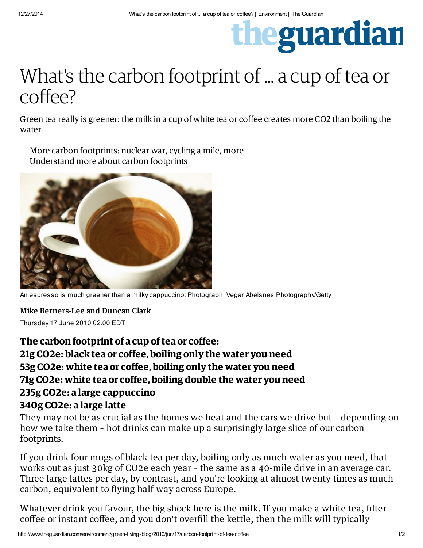## theguardian

## What's the carbon footprint of ... a cup of tea or coffee?

Green tea really is greener: the milk in a cup of white tea or coffee creates more CO2 than boiling the water.

• More carbon footprints: [nuclear](http://www.guardian.co.uk/environment/blog/2009/jan/02/nuclear-war-emissions) war, [cycling](http://www.guardian.co.uk/environment/2010/jun/08/carbon-footprint-cycling) a mile, [more](http://www.guardian.co.uk/environment/series/the-carbon-footprint-of-everything) • [Understand](http://www.guardian.co.uk/environment/blog/2010/jun/04/carbon-footprint-definition) more about carbon footprints



An espresso is much greener than a milky cappuccino. Photograph: Vegar Abelsnes Photography/Getty

Mike [Berners-Lee](http://www.theguardian.com/profile/mike-berners-lee) and [Duncan](http://www.theguardian.com/profile/duncanclark) Clark Thursday 17 June 2010 02.00 EDT

## *The carbon footprint of a cup oftea or coffee:* 21g CO2e: black tea or coffee, boiling only the water you need 53g CO2e: white tea or coffee, boiling only the water you need 71g CO2e: white tea or coffee, boiling double the water you need 235g CO2e: a large cappuccino 340g CO2e: a large latte

They may not be as crucial as the homes we heat and the cars we drive but – depending on how we take them – hot drinks can make up a surprisingly large slice of our carbon footprints.

If you drink four mugs of black tea per day, boiling only as much water as you need, that works out as just 30kg of [CO2e](http://www.guardian.co.uk/environment/blog/2010/jun/04/carbon-footprint-definition) each year – the same as a 40-mile drive in an average car. Three large lattes per day, by contrast, and you're looking at almost twenty times as much carbon, equivalent to flying half way across Europe.

Whatever drink you favour, the big shock here is the milk. If you make a white tea, filter coffee or instant coffee, and you don't overfill the kettle, then the milk will typically